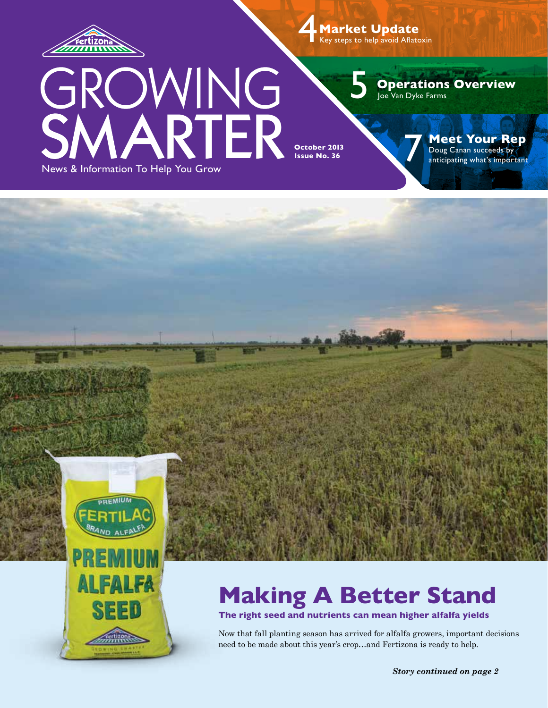

GR

4  **Market Update** Key steps to help avoid Aflatoxin

5

**Operations Overview** Joe Van Dyke Farms

News & Information To Help You Grow

OWING<br>ARTER

**October 2013 Issue No. 36** 

**Meet Your Rep**<br>
Doug Canan succeeds by *anticipating what's important* 



# **Making A Better Stand**

**The right seed and nutrients can mean higher alfalfa yields**

Now that fall planting season has arrived for alfalfa growers, important decisions need to be made about this year's crop…and Fertizona is ready to help.

*Story continued on page 2*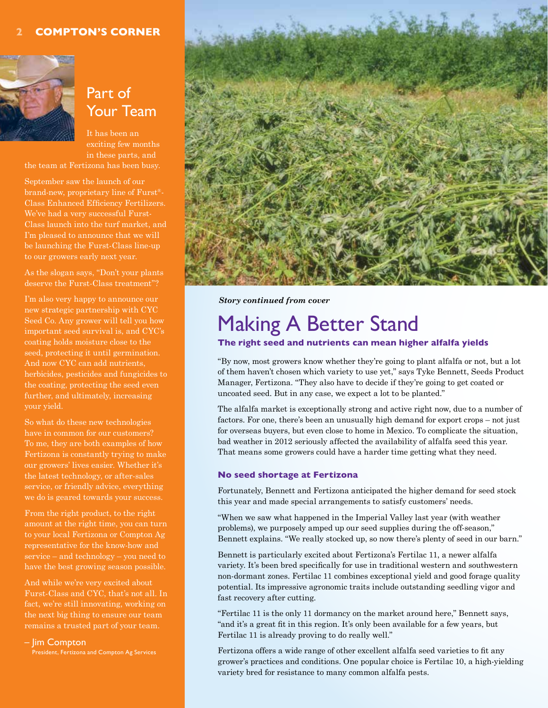#### **2 Compton's Corner**



## Part of Your Team

It has been an exciting few months in these parts, and the team at Fertizona has been busy.

September saw the launch of our brand-new, proprietary line of Furst®- Class Enhanced Efficiency Fertilizers. We've had a very successful Furst-Class launch into the turf market, and I'm pleased to announce that we will be launching the Furst-Class line-up to our growers early next year.

As the slogan says, "Don't your plants deserve the Furst-Class treatment"?

I'm also very happy to announce our new strategic partnership with CYC Seed Co. Any grower will tell you how important seed survival is, and CYC's coating holds moisture close to the seed, protecting it until germination. And now CYC can add nutrients, herbicides, pesticides and fungicides to the coating, protecting the seed even further, and ultimately, increasing your yield.

So what do these new technologies have in common for our customers? To me, they are both examples of how Fertizona is constantly trying to make our growers' lives easier. Whether it's the latest technology, or after-sales service, or friendly advice, everything we do is geared towards your success.

From the right product, to the right amount at the right time, you can turn to your local Fertizona or Compton Ag representative for the know-how and service – and technology – you need to have the best growing season possible.

And while we're very excited about Furst-Class and CYC, that's not all. In fact, we're still innovating, working on the next big thing to ensure our team remains a trusted part of your team.

#### – Jim Compton

President, Fertizona and Compton Ag Services



*Story continued from cover*

# Making A Better Stand

#### **The right seed and nutrients can mean higher alfalfa yields**

"By now, most growers know whether they're going to plant alfalfa or not, but a lot of them haven't chosen which variety to use yet," says Tyke Bennett, Seeds Product Manager, Fertizona. "They also have to decide if they're going to get coated or uncoated seed. But in any case, we expect a lot to be planted."

The alfalfa market is exceptionally strong and active right now, due to a number of factors. For one, there's been an unusually high demand for export crops – not just for overseas buyers, but even close to home in Mexico. To complicate the situation, bad weather in 2012 seriously affected the availability of alfalfa seed this year. That means some growers could have a harder time getting what they need.

#### **No seed shortage at Fertizona**

Fortunately, Bennett and Fertizona anticipated the higher demand for seed stock this year and made special arrangements to satisfy customers' needs.

"When we saw what happened in the Imperial Valley last year (with weather problems), we purposely amped up our seed supplies during the off-season," Bennett explains. "We really stocked up, so now there's plenty of seed in our barn."

Bennett is particularly excited about Fertizona's Fertilac 11, a newer alfalfa variety. It's been bred specifically for use in traditional western and southwestern non-dormant zones. Fertilac 11 combines exceptional yield and good forage quality potential. Its impressive agronomic traits include outstanding seedling vigor and fast recovery after cutting.

"Fertilac 11 is the only 11 dormancy on the market around here," Bennett says, "and it's a great fit in this region. It's only been available for a few years, but Fertilac 11 is already proving to do really well."

Fertizona offers a wide range of other excellent alfalfa seed varieties to fit any grower's practices and conditions. One popular choice is Fertilac 10, a high-yielding variety bred for resistance to many common alfalfa pests.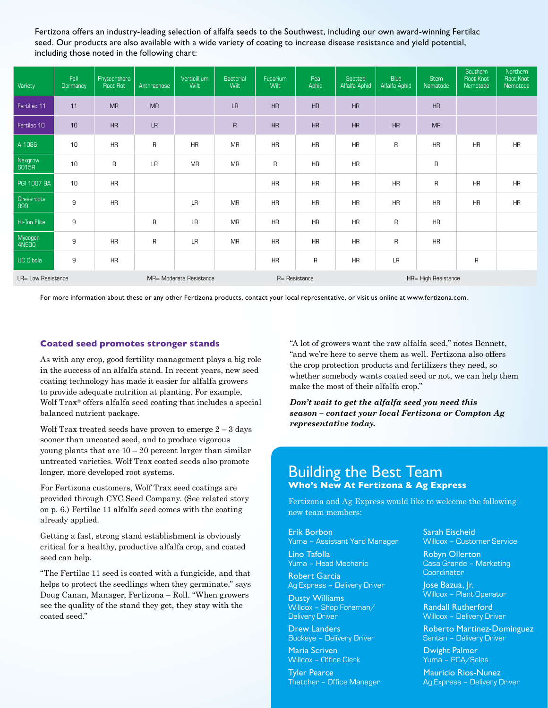Fertizona offers an industry-leading selection of alfalfa seeds to the Southwest, including our own award-winning Fertilac seed. Our products are also available with a wide variety of coating to increase disease resistance and yield potential, including those noted in the following chart:

| Variety            | Fall<br>Dormancy | Phytophthora<br>Root Rot | Anthracnose  | Verticillium<br>Wilt | Bacterial<br>Wilt | Fusarium<br>Wilt | Pea<br>Aphid | Spotted<br>Alfalfa Aphid | <b>Blue</b><br>Alfalfa Aphid | <b>Stem</b><br>Nematode | Southern<br>Root Knot<br>Nemotode | Northern<br>Root Knot<br>Nemotode |
|--------------------|------------------|--------------------------|--------------|----------------------|-------------------|------------------|--------------|--------------------------|------------------------------|-------------------------|-----------------------------------|-----------------------------------|
| Fertiliac 11       | 11               | <b>MR</b>                | <b>MR</b>    |                      | <b>LR</b>         | HR               | HR           | HR                       |                              | HR                      |                                   |                                   |
| Fertilac 10        | 10               | HR                       | <b>LR</b>    |                      | $\overline{R}$    | <b>HR</b>        | HR           | HR                       | HR                           | <b>MR</b>               |                                   |                                   |
| A-1086             | 10               | HR                       | $\sf R$      | <b>HR</b>            | <b>MR</b>         | <b>HR</b>        | <b>HR</b>    | <b>HR</b>                | $\overline{R}$               | <b>HR</b>               | HR                                | HR                                |
| Nexgrow<br>6015R   | 10               | $\mathsf R$              | <b>LR</b>    | <b>MR</b>            | <b>MR</b>         | $\mathsf{R}$     | <b>HR</b>    | <b>HR</b>                |                              | $\mathsf{R}$            |                                   |                                   |
| <b>PGI 1007 BA</b> | 10               | <b>HR</b>                |              |                      |                   | <b>HR</b>        | <b>HR</b>    | <b>HR</b>                | <b>HR</b>                    | $\mathsf{R}$            | <b>HR</b>                         | <b>HR</b>                         |
| Grassroots<br>999  | $\mathsf g$      | <b>HR</b>                |              | <b>LR</b>            | <b>MR</b>         | <b>HR</b>        | <b>HR</b>    | <b>HR</b>                | <b>HR</b>                    | <b>HR</b>               | <b>HR</b>                         | <b>HR</b>                         |
| Hi-Ton Elite       | 9                |                          | $\mathsf{R}$ | LR                   | <b>MR</b>         | <b>HR</b>        | <b>HR</b>    | <b>HR</b>                | $\mathsf{R}$                 | <b>HR</b>               |                                   |                                   |
| Mycogen<br>4N900   | 9                | <b>HR</b>                | $\mathsf{R}$ | <b>LR</b>            | <b>MR</b>         | HR               | <b>HR</b>    | <b>HR</b>                | $\mathsf{R}$                 | <b>HR</b>               |                                   |                                   |
| <b>UC Cibola</b>   | 9                | HR                       |              |                      |                   | <b>HR</b>        | R            | <b>HR</b>                | LR                           |                         | $\mathsf R$                       |                                   |
| LR= Low Resistance |                  | MR= Moderate Resistance  |              |                      | R= Resistance     |                  |              | HR= High Resistance      |                              |                         |                                   |                                   |

For more information about these or any other Fertizona products, contact your local representative, or visit us online at www.fertizona.com.

#### **Coated seed promotes stronger stands**

As with any crop, good fertility management plays a big role in the success of an alfalfa stand. In recent years, new seed coating technology has made it easier for alfalfa growers to provide adequate nutrition at planting. For example, Wolf Trax® offers alfalfa seed coating that includes a special balanced nutrient package.

Wolf Trax treated seeds have proven to emerge  $2 - 3$  days sooner than uncoated seed, and to produce vigorous young plants that are  $10 - 20$  percent larger than similar untreated varieties. Wolf Trax coated seeds also promote longer, more developed root systems.

For Fertizona customers, Wolf Trax seed coatings are provided through CYC Seed Company. (See related story on p. 6.) Fertilac 11 alfalfa seed comes with the coating already applied.

Getting a fast, strong stand establishment is obviously critical for a healthy, productive alfalfa crop, and coated seed can help.

"The Fertilac 11 seed is coated with a fungicide, and that helps to protect the seedlings when they germinate," says Doug Canan, Manager, Fertizona – Roll. "When growers see the quality of the stand they get, they stay with the coated seed."

"A lot of growers want the raw alfalfa seed," notes Bennett, "and we're here to serve them as well. Fertizona also offers the crop protection products and fertilizers they need, so whether somebody wants coated seed or not, we can help them make the most of their alfalfa crop."

*Don't wait to get the alfalfa seed you need this season – contact your local Fertizona or Compton Ag representative today.* 

### Building the Best Team **Who's New At Fertizona & Ag Express**

Fertizona and Ag Express would like to welcome the following new team members:

Erik Borbon Yuma – Assistant Yard Manager

Lino Tafolla Yuma – Head Mechanic

Robert Garcia Ag Express – Delivery Driver

Dusty Williams Willcox – Shop Foreman/ Delivery Driver

Drew Landers Buckeye – Delivery Driver

Maria Scriven Willcox – Office Clerk

Tyler Pearce Thatcher – Office Manager Sarah Eischeid Willcox – Customer Service

Robyn Ollerton Casa Grande – Marketing Coordinator

Jose Bazua, Jr. Willcox – Plant Operator

Randall Rutherford Willcox – Delivery Driver

Roberto Martinez-Dominguez Santan – Delivery Driver

Dwight Palmer Yuma – PCA/Sales

Mauricio Rios-Nunez Ag Express – Delivery Driver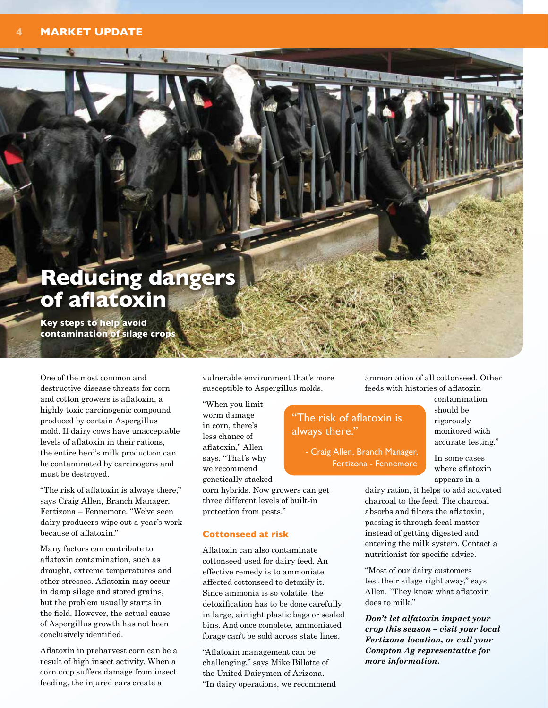# **Reducing dangers of aflatoxin**

**Key steps to help avoid contamination of silage crops**

One of the most common and destructive disease threats for corn and cotton growers is aflatoxin, a highly toxic carcinogenic compound produced by certain Aspergillus mold. If dairy cows have unacceptable levels of aflatoxin in their rations, the entire herd's milk production can be contaminated by carcinogens and must be destroyed.

"The risk of aflatoxin is always there," says Craig Allen, Branch Manager, Fertizona – Fennemore. "We've seen dairy producers wipe out a year's work because of aflatoxin."

Many factors can contribute to aflatoxin contamination, such as drought, extreme temperatures and other stresses. Aflatoxin may occur in damp silage and stored grains, but the problem usually starts in the field. However, the actual cause of Aspergillus growth has not been conclusively identified.

Aflatoxin in preharvest corn can be a result of high insect activity. When a corn crop suffers damage from insect feeding, the injured ears create a

vulnerable environment that's more susceptible to Aspergillus molds.

"When you limit worm damage in corn, there's less chance of aflatoxin," Allen says. "That's why we recommend genetically stacked

corn hybrids. Now growers can get three different levels of built-in protection from pests."

#### **Cottonseed at risk**

Aflatoxin can also contaminate cottonseed used for dairy feed. An effective remedy is to ammoniate affected cottonseed to detoxify it. Since ammonia is so volatile, the detoxification has to be done carefully in large, airtight plastic bags or sealed bins. And once complete, ammoniated forage can't be sold across state lines.

"Aflatoxin management can be challenging," says Mike Billotte of the United Dairymen of Arizona. "In dairy operations, we recommend ammoniation of all cottonseed. Other feeds with histories of aflatoxin

### "The risk of aflatoxin is always there."

- Craig Allen, Branch Manager, Fertizona - Fennemore

contamination should be rigorously monitored with accurate testing."

In some cases where aflatoxin appears in a

dairy ration, it helps to add activated charcoal to the feed. The charcoal absorbs and filters the aflatoxin, passing it through fecal matter instead of getting digested and entering the milk system. Contact a nutritionist for specific advice.

"Most of our dairy customers test their silage right away," says Allen. "They know what aflatoxin does to milk."

*Don't let alfatoxin impact your crop this season – visit your local Fertizona location, or call your Compton Ag representative for more information.*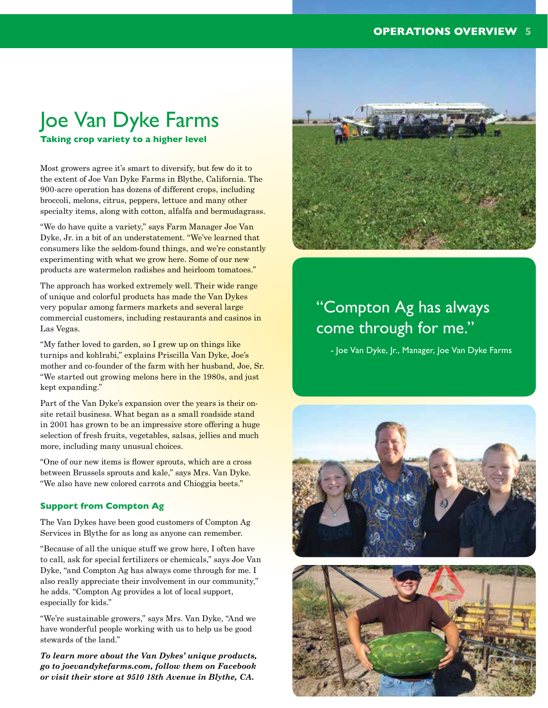#### **OPERATIONS OVERVIEW 5**

# Joe Van Dyke Farms

**Taking crop variety to a higher level**

Most growers agree it's smart to diversify, but few do it to the extent of Joe Van Dyke Farms in Blythe, California. The 900-acre operation has dozens of different crops, including broccoli, melons, citrus, peppers, lettuce and many other specialty items, along with cotton, alfalfa and bermudagrass.

"We do have quite a variety," says Farm Manager Joe Van Dyke, Jr. in a bit of an understatement. "We've learned that consumers like the seldom-found things, and we're constantly experimenting with what we grow here. Some of our new products are watermelon radishes and heirloom tomatoes."

The approach has worked extremely well. Their wide range of unique and colorful products has made the Van Dykes very popular among farmers markets and several large commercial customers, including restaurants and casinos in Las Vegas.

"My father loved to garden, so I grew up on things like turnips and kohlrabi," explains Priscilla Van Dyke, Joe's mother and co-founder of the farm with her husband, Joe, Sr. "We started out growing melons here in the 1980s, and just kept expanding."

Part of the Van Dyke's expansion over the years is their onsite retail business. What began as a small roadside stand in 2001 has grown to be an impressive store offering a huge selection of fresh fruits, vegetables, salsas, jellies and much more, including many unusual choices.

"One of our new items is flower sprouts, which are a cross between Brussels sprouts and kale," says Mrs. Van Dyke. "We also have new colored carrots and Chioggia beets."

#### **Support from Compton Ag**

The Van Dykes have been good customers of Compton Ag Services in Blythe for as long as anyone can remember.

"Because of all the unique stuff we grow here, I often have to call, ask for special fertilizers or chemicals," says Joe Van Dyke, "and Compton Ag has always come through for me. I also really appreciate their involvement in our community," he adds. "Compton Ag provides a lot of local support, especially for kids."

"We're sustainable growers," says Mrs. Van Dyke, "And we have wonderful people working with us to help us be good stewards of the land."

*To learn more about the Van Dykes' unique products, go to joevandykefarms.com, follow them on Facebook or visit their store at 9510 18th Avenue in Blythe, CA.*



# "Compton Ag has always come through for me."

- Joe Van Dyke, Jr., Manager, Joe Van Dyke Farms



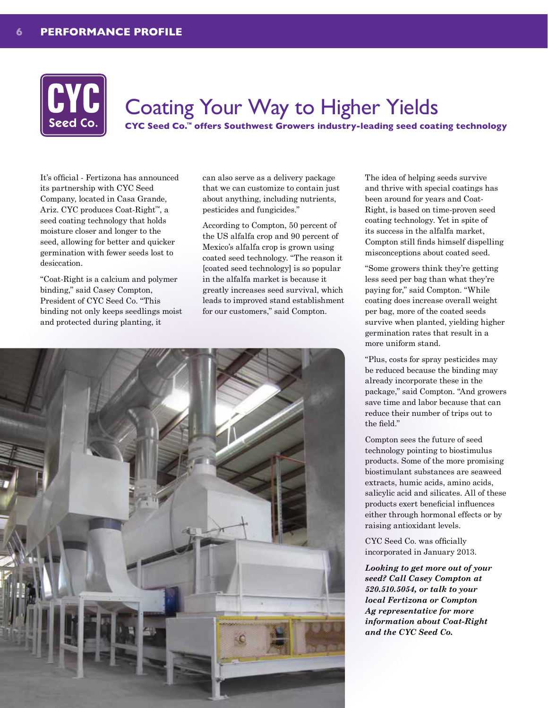

# Coating Your Way to Higher Yields

**CYC Seed Co.™ offers Southwest Growers industry-leading seed coating technology**

It's official - Fertizona has announced its partnership with CYC Seed Company, located in Casa Grande, Ariz. CYC produces Coat-Right™, a seed coating technology that holds moisture closer and longer to the seed, allowing for better and quicker germination with fewer seeds lost to desiccation.

"Coat-Right is a calcium and polymer binding," said Casey Compton, President of CYC Seed Co. "This binding not only keeps seedlings moist and protected during planting, it

can also serve as a delivery package that we can customize to contain just about anything, including nutrients, pesticides and fungicides."

According to Compton, 50 percent of the US alfalfa crop and 90 percent of Mexico's alfalfa crop is grown using coated seed technology. "The reason it [coated seed technology] is so popular in the alfalfa market is because it greatly increases seed survival, which leads to improved stand establishment for our customers," said Compton.



The idea of helping seeds survive and thrive with special coatings has been around for years and Coat-Right, is based on time-proven seed coating technology. Yet in spite of its success in the alfalfa market, Compton still finds himself dispelling misconceptions about coated seed.

"Some growers think they're getting less seed per bag than what they're paying for," said Compton. "While coating does increase overall weight per bag, more of the coated seeds survive when planted, yielding higher germination rates that result in a more uniform stand.

"Plus, costs for spray pesticides may be reduced because the binding may already incorporate these in the package," said Compton. "And growers save time and labor because that can reduce their number of trips out to the field."

Compton sees the future of seed technology pointing to biostimulus products. Some of the more promising biostimulant substances are seaweed extracts, humic acids, amino acids, salicylic acid and silicates. All of these products exert beneficial influences either through hormonal effects or by raising antioxidant levels.

CYC Seed Co. was officially incorporated in January 2013.

*Looking to get more out of your seed? Call Casey Compton at 520.510.5054, or talk to your local Fertizona or Compton Ag representative for more information about Coat-Right and the CYC Seed Co.*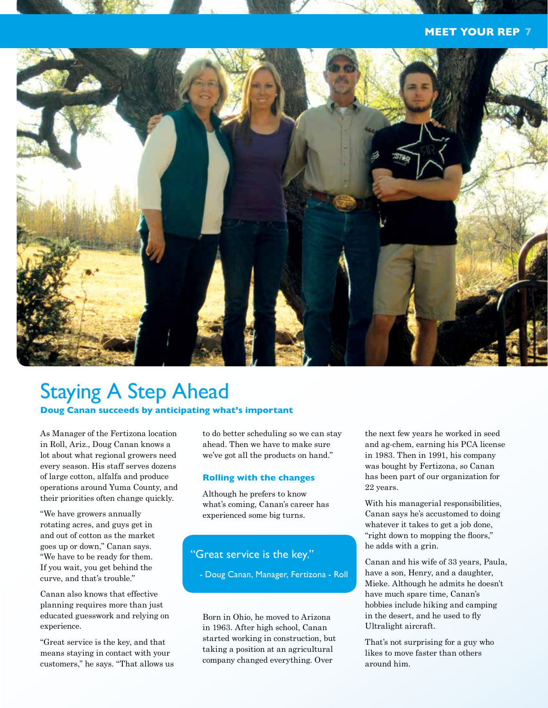#### **MEET YOUR REP 7**



### Staying A Step Ahead **Doug Canan succeeds by anticipating what's important**

As Manager of the Fertizona location in Roll, Ariz., Doug Canan knows a lot about what regional growers need every season. His staff serves dozens of large cotton, alfalfa and produce operations around Yuma County, and their priorities often change quickly.

"We have growers annually rotating acres, and guys get in and out of cotton as the market goes up or down," Canan says. "We have to be ready for them. If you wait, you get behind the curve, and that's trouble."

Canan also knows that effective planning requires more than just educated guesswork and relying on experience.

"Great service is the key, and that means staying in contact with your customers," he says. "That allows us to do better scheduling so we can stay ahead. Then we have to make sure we've got all the products on hand."

#### **Rolling with the changes**

Although he prefers to know what's coming, Canan's career has experienced some big turns.

### "Great service is the key."

- Doug Canan, Manager, Fertizona - Roll

Born in Ohio, he moved to Arizona in 1963. After high school, Canan started working in construction, but taking a position at an agricultural company changed everything. Over

the next few years he worked in seed and ag-chem, earning his PCA license in 1983. Then in 1991, his company was bought by Fertizona, so Canan has been part of our organization for 22 years.

With his managerial responsibilities, Canan says he's accustomed to doing whatever it takes to get a job done, "right down to mopping the floors," he adds with a grin.

Canan and his wife of 33 years, Paula, have a son, Henry, and a daughter, Mieke. Although he admits he doesn't have much spare time, Canan's hobbies include hiking and camping in the desert, and he used to fly Ultralight aircraft.

That's not surprising for a guy who likes to move faster than others around him.